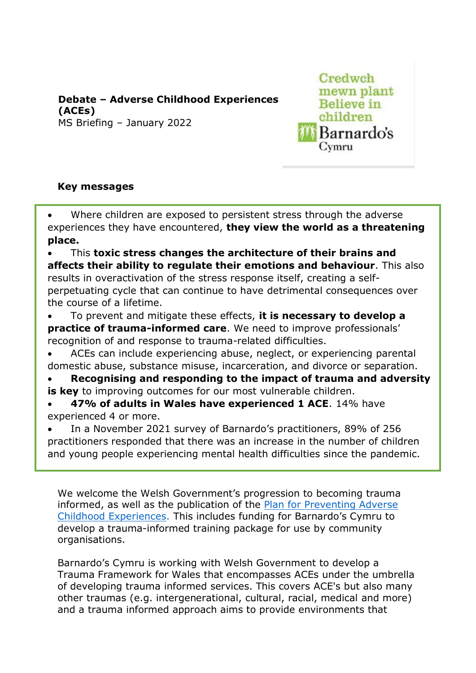**Debate – Adverse Childhood Experiences (ACEs)**  MS Briefing – January 2022

# Credwch mewn plant **Believe** in children Barnardo's Cymru

### **Key messages**

Where children are exposed to persistent stress through the adverse experiences they have encountered, **they view the world as a threatening place.**

• This **toxic stress changes the architecture of their brains and affects their ability to regulate their emotions and behaviour**. This also results in overactivation of the stress response itself, creating a selfperpetuating cycle that can continue to have detrimental consequences over the course of a lifetime.

• To prevent and mitigate these effects, **it is necessary to develop a practice of trauma-informed care.** We need to improve professionals' recognition of and response to trauma-related difficulties.

• ACEs can include experiencing abuse, neglect, or experiencing parental domestic abuse, substance misuse, incarceration, and divorce or separation.

• **Recognising and responding to the impact of trauma and adversity** 

**is key** to improving outcomes for our most vulnerable children.

• **47% of adults in Wales have experienced 1 ACE**. 14% have experienced 4 or more.

• In a November 2021 survey of Barnardo's practitioners, 89% of 256 practitioners responded that there was an increase in the number of children and young people experiencing mental health difficulties since the pandemic.

We welcome the Welsh Government's [progression to becoming trauma](https://gov.wales/written-statement-welsh-governments-plan-preventing-adverse-childhood-experiences)  informed, [as well as the publication of the](https://gov.wales/written-statement-welsh-governments-plan-preventing-adverse-childhood-experiences) Plan for Preventing Adverse [Childhood Experiences.](https://gov.wales/written-statement-welsh-governments-plan-preventing-adverse-childhood-experiences) This includes funding for Barnardo's Cymru to develop a trauma-informed training package for use by community organisations.

Barnardo's Cymru is working with Welsh Government to develop a Trauma Framework for Wales that encompasses ACEs under the umbrella of developing trauma informed services. This covers ACE's but also many other traumas (e.g. intergenerational, cultural, racial, medical and more) and a trauma informed approach aims to provide environments that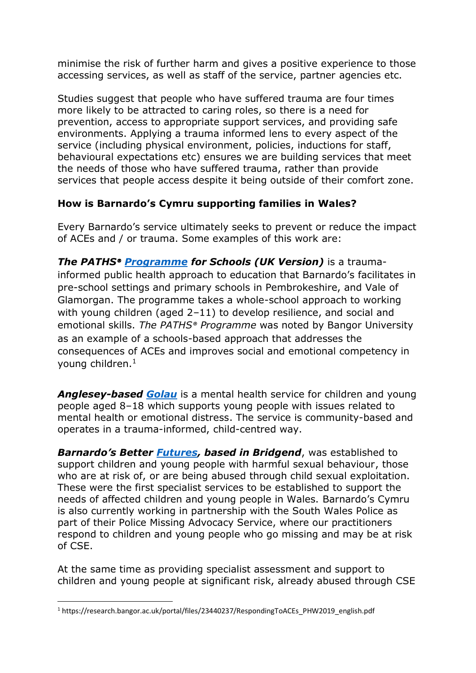minimise the risk of further harm and gives a positive experience to those accessing services, as well as staff of the service, partner agencies etc.

Studies suggest that people who have suffered trauma are four times more likely to be attracted to caring roles, so there is a need for prevention, access to appropriate support services, and providing safe environments. Applying a trauma informed lens to every aspect of the service (including physical environment, policies, inductions for staff, behavioural expectations etc) ensures we are building services that meet the needs of those who have suffered trauma, rather than provide services that people access despite it being outside of their comfort zone.

## **How is Barnardo's Cymru supporting families in Wales?**

Every Barnardo's service ultimately seeks to prevent or reduce the impact of ACEs and / or trauma. Some examples of this work are:

*The PATHS® [Programme](https://www.barnardos.org.uk/what-we-do/services/paths) for Schools (UK Version)* is a traumainformed public health approach to education that Barnardo's facilitates in pre-school settings and primary schools in Pembrokeshire, and Vale of Glamorgan. The programme takes a whole-school approach to working with young children (aged 2–11) to develop resilience, and social and emotional skills. *The PATHS® Programme* was noted by Bangor University as an example of a schools-based approach that addresses the consequences of ACEs and improves social and emotional competency in young children.<sup>1</sup>

*[Anglesey-based Golau](https://www.barnardos.org.uk/what-we-do/services/golau)* is a mental health service for children and young people aged 8–18 which supports young people with issues related to mental health or emotional distress. The service is community-based and operates in a trauma-informed, child-centred way.

*[Barnardo's Better](https://www.barnardos.org.uk/what-we-do/services/better-futures-cymru) Futures, based in Bridgend*, was established to support children and young people with harmful sexual behaviour, those who are at risk of, or are being abused through child sexual exploitation. These were the first specialist services to be established to support the needs of affected children and young people in Wales. Barnardo's Cymru is also currently working in partnership with the South Wales Police as part of their Police Missing Advocacy Service, where our practitioners respond to children and young people who go missing and may be at risk of CSE.

At the same time as providing specialist assessment and support to children and young people at significant risk, already abused through CSE

<sup>1</sup> https://research.bangor.ac.uk/portal/files/23440237/RespondingToACEs\_PHW2019\_english.pdf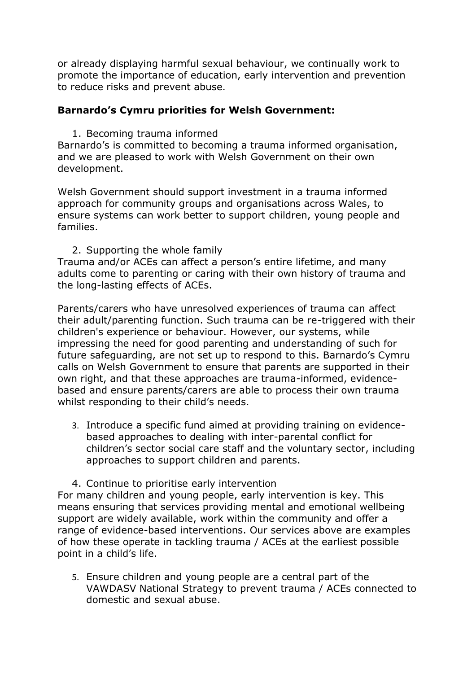or already displaying harmful sexual behaviour, we continually work to promote the importance of education, early intervention and prevention to reduce risks and prevent abuse.

### **Barnardo's Cymru priorities for Welsh Government:**

1. Becoming trauma informed

Barnardo's is committed to becoming a trauma informed organisation, and we are pleased to work with Welsh Government on their own development.

Welsh Government should support investment in a trauma informed approach for community groups and organisations across Wales, to ensure systems can work better to support children, young people and families.

2. Supporting the whole family

Trauma and/or ACEs can affect a person's entire lifetime, and many adults come to parenting or caring with their own history of trauma and the long-lasting effects of ACEs.

Parents/carers who have unresolved experiences of trauma can affect their adult/parenting function. Such trauma can be re-triggered with their children's experience or behaviour. However, our systems, while impressing the need for good parenting and understanding of such for future safeguarding, are not set up to respond to this. Barnardo's Cymru calls on Welsh Government to ensure that parents are supported in their own right, and that these approaches are trauma-informed, evidencebased and ensure parents/carers are able to process their own trauma whilst responding to their child's needs.

3. Introduce a specific fund aimed at providing training on evidencebased approaches to dealing with inter-parental conflict for children's sector social care staff and the voluntary sector, including approaches to support children and parents.

4. Continue to prioritise early intervention For many children and young people, early intervention is key. This means ensuring that services providing mental and emotional wellbeing support are widely available, work within the community and offer a range of evidence-based interventions. Our services above are examples of how these operate in tackling trauma / ACEs at the earliest possible point in a child's life.

5. Ensure children and young people are a central part of the VAWDASV National Strategy to prevent trauma / ACEs connected to domestic and sexual abuse.